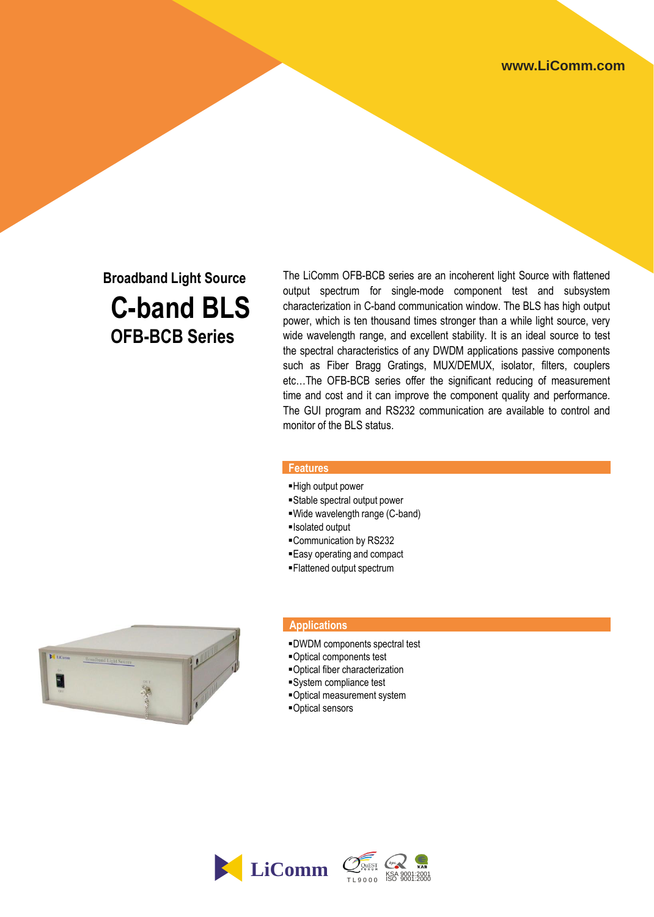# **Broadband Light Source C-band BLS OFB-BCB Series**

The LiComm OFB-BCB series are an incoherent light Source with flattened output spectrum for single-mode component test and subsystem characterization in C-band communication window. The BLS has high output power, which is ten thousand times stronger than a while light source, very wide wavelength range, and excellent stability. It is an ideal source to test the spectral characteristics of any DWDM applications passive components such as Fiber Bragg Gratings, MUX/DEMUX, isolator, filters, couplers etc…The OFB-BCB series offer the significant reducing of measurement time and cost and it can improve the component quality and performance. The GUI program and RS232 communication are available to control and monitor of the BLS status.

### **Features**

- High output power
- Stable spectral output power
- Wide wavelength range (C-band)
- Isolated output
- Communication by RS232
- Easy operating and compact
- Flattened output spectrum



#### **Applications**

- DWDM components spectral test
- Optical components test
- Optical fiber characterization
- System compliance test
- Optical measurement system
- Optical sensors